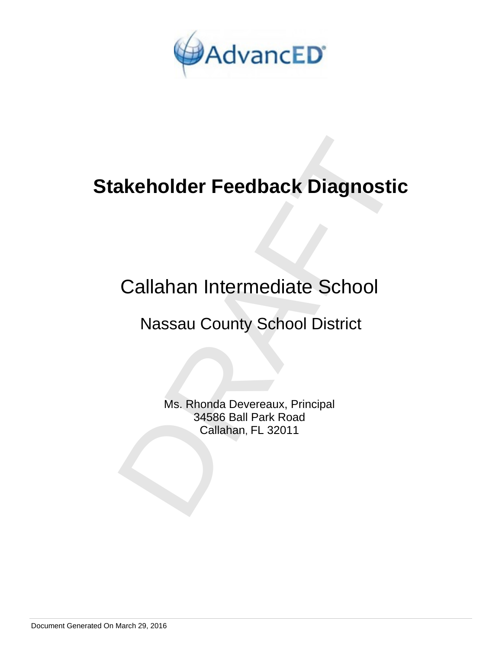

# **Stakeholder Feedback Diagnostic**

# Callahan Intermediate School

## Nassau County School District

**akeholder Feedback Diagnostic<br>
Callahan Intermediate School<br>
Nassau County School District<br>
Ms. Rhonda Devereaux, Principal<br>
34586 Ball Park Road<br>
Callahan, FL 32011** Ms. Rhonda Devereaux, Principal 34586 Ball Park Road Callahan, FL 32011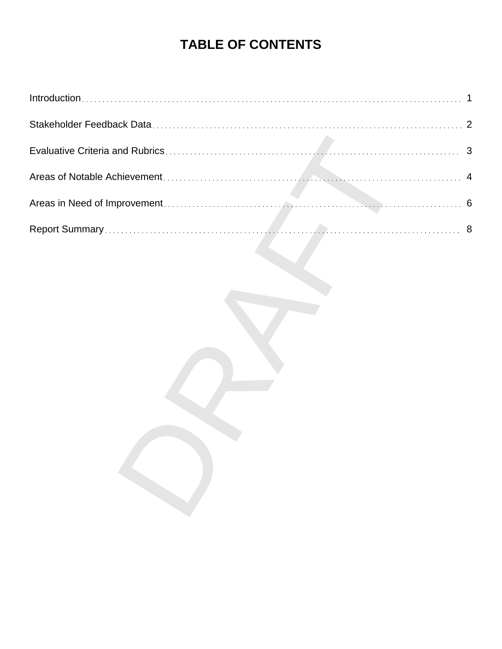## **TABLE OF CONTENTS**

| 1 |
|---|
| 2 |
|   |
| 4 |
| 6 |
| 8 |
|   |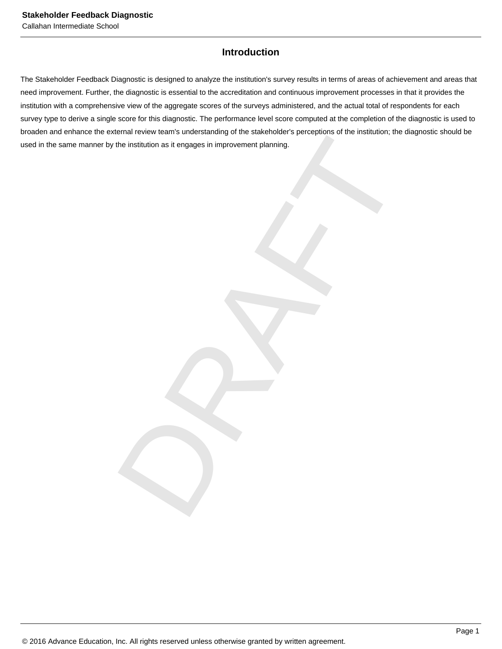## **Introduction**

DRAFT The Stakeholder Feedback Diagnostic is designed to analyze the institution's survey results in terms of areas of achievement and areas that need improvement. Further, the diagnostic is essential to the accreditation and continuous improvement processes in that it provides the institution with a comprehensive view of the aggregate scores of the surveys administered, and the actual total of respondents for each survey type to derive a single score for this diagnostic. The performance level score computed at the completion of the diagnostic is used to broaden and enhance the external review team's understanding of the stakeholder's perceptions of the institution; the diagnostic should be used in the same manner by the institution as it engages in improvement planning.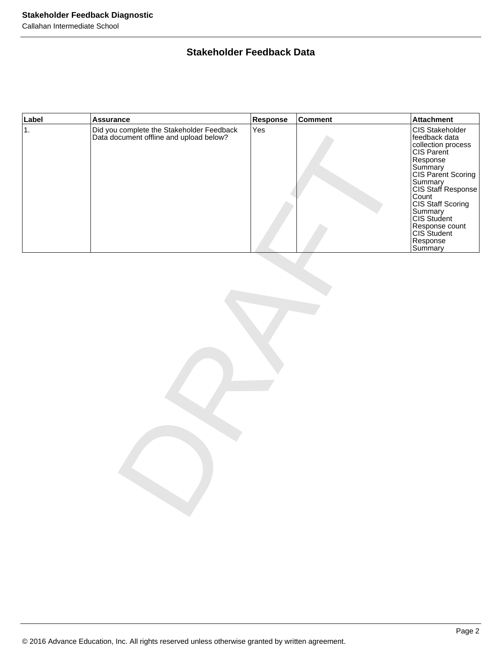## **Stakeholder Feedback Data**

| Label         | <b>Assurance</b>                                                                     | Response | <b>Comment</b> | <b>Attachment</b>                                                                                                                                                                                                                                                  |  |  |  |
|---------------|--------------------------------------------------------------------------------------|----------|----------------|--------------------------------------------------------------------------------------------------------------------------------------------------------------------------------------------------------------------------------------------------------------------|--|--|--|
| $\mathbf 1$ . | Did you complete the Stakeholder Feedback<br>Data document offline and upload below? | Yes      |                | CIS Stakeholder<br>feedback data<br>Collection process<br>CIS Parent<br>Response<br>Summary<br>CIS Parent Scoring<br>Summary<br>CIS Staff Response<br>Count<br>CIS Staff Scoring<br>Summary<br>CIS Student<br>Response count<br>CIS Student<br>Response<br>Summary |  |  |  |
|               |                                                                                      |          |                |                                                                                                                                                                                                                                                                    |  |  |  |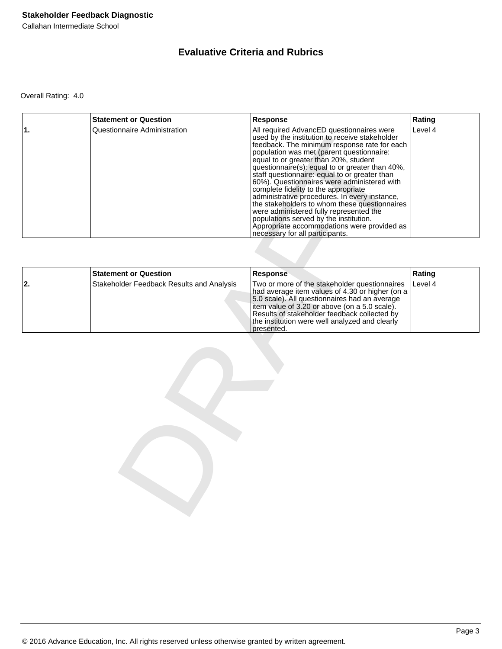## **Evaluative Criteria and Rubrics**

Overall Rating: 4.0

|    | <b>Statement or Question</b>              | Response                                                                                                                                                                                                                                                                                                                                                                                                                                                                                                                                                                                                                                                                                              | Rating  |
|----|-------------------------------------------|-------------------------------------------------------------------------------------------------------------------------------------------------------------------------------------------------------------------------------------------------------------------------------------------------------------------------------------------------------------------------------------------------------------------------------------------------------------------------------------------------------------------------------------------------------------------------------------------------------------------------------------------------------------------------------------------------------|---------|
| 1. | Questionnaire Administration              | All required AdvancED questionnaires were<br>used by the institution to receive stakeholder<br>feedback. The minimum response rate for each<br>population was met (parent questionnaire:<br>equal to or greater than 20%, student<br>questionnaire(s): equal to or greater than 40%,<br>staff questionnaire: equal to or greater than<br>60%). Questionnaires were administered with<br>complete fidelity to the appropriate<br>administrative procedures. In every instance,<br>the stakeholders to whom these questionnaires<br>were administered fully represented the<br>populations served by the institution.<br>Appropriate accommodations were provided as<br>necessary for all participants. | Level 4 |
|    |                                           |                                                                                                                                                                                                                                                                                                                                                                                                                                                                                                                                                                                                                                                                                                       |         |
|    | <b>Statement or Question</b>              | <b>Response</b>                                                                                                                                                                                                                                                                                                                                                                                                                                                                                                                                                                                                                                                                                       | Rating  |
| 2. | Stakeholder Feedback Results and Analysis | Two or more of the stakeholder questionnaires<br>had average item values of 4.30 or higher (on a<br>5.0 scale). All questionnaires had an average<br>item value of 3.20 or above (on a 5.0 scale).<br>Results of stakeholder feedback collected by<br>the institution were well analyzed and clearly<br>presented.                                                                                                                                                                                                                                                                                                                                                                                    | Level 4 |
|    |                                           |                                                                                                                                                                                                                                                                                                                                                                                                                                                                                                                                                                                                                                                                                                       |         |

|     | <b>Statement or Question</b>              | <b>Response</b>                                                                                                                                                                                                                                                                                                     | Rating  |
|-----|-------------------------------------------|---------------------------------------------------------------------------------------------------------------------------------------------------------------------------------------------------------------------------------------------------------------------------------------------------------------------|---------|
| 12. | Stakeholder Feedback Results and Analysis | Two or more of the stakeholder questionnaires<br>had average item values of 4.30 or higher (on a<br>5.0 scale). All questionnaires had an average<br>litem value of 3.20 or above (on a 5.0 scale).<br>Results of stakeholder feedback collected by<br>the institution were well analyzed and clearly<br>presented. | Level 4 |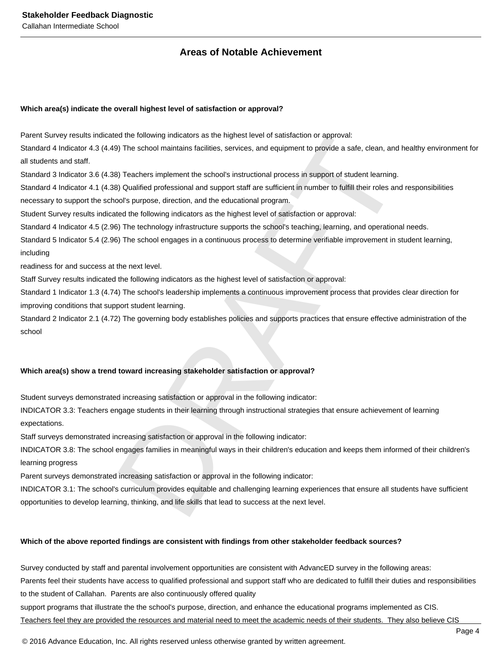## **Areas of Notable Achievement**

#### **Which area(s) indicate the overall highest level of satisfaction or approval?**

Parent Survey results indicated the following indicators as the highest level of satisfaction or approval:

Standard 4 Indicator 4.3 (4.49) The school maintains facilities, services, and equipment to provide a safe, clean, and healthy environment for all students and staff.

Standard 3 Indicator 3.6 (4.38) Teachers implement the school's instructional process in support of student learning.

Standard 4 Indicator 4.1 (4.38) Qualified professional and support staff are sufficient in number to fulfill their roles and responsibilities

necessary to support the school's purpose, direction, and the educational program.

Student Survey results indicated the following indicators as the highest level of satisfaction or approval:

Standard 4 Indicator 4.5 (2.96) The technology infrastructure supports the school's teaching, learning, and operational needs.

Standard 5 Indicator 5.4 (2.96) The school engages in a continuous process to determine verifiable improvement in student learning, including

readiness for and success at the next level.

Staff Survey results indicated the following indicators as the highest level of satisfaction or approval:

ed the following indicators as the highest level of satisfaction or approval:<br>
9) The school maintains factilities, services, and equipment to provide a safe, clean, and healthy en<br>
9) Teachest implement the schools instru Standard 1 Indicator 1.3 (4.74) The school's leadership implements a continuous improvement process that provides clear direction for improving conditions that support student learning.

Standard 2 Indicator 2.1 (4.72) The governing body establishes policies and supports practices that ensure effective administration of the school

#### **Which area(s) show a trend toward increasing stakeholder satisfaction or approval?**

Student surveys demonstrated increasing satisfaction or approval in the following indicator:

INDICATOR 3.3: Teachers engage students in their learning through instructional strategies that ensure achievement of learning expectations.

Staff surveys demonstrated increasing satisfaction or approval in the following indicator:

INDICATOR 3.8: The school engages families in meaningful ways in their children's education and keeps them informed of their children's learning progress

Parent surveys demonstrated increasing satisfaction or approval in the following indicator:

INDICATOR 3.1: The school's curriculum provides equitable and challenging learning experiences that ensure all students have sufficient opportunities to develop learning, thinking, and life skills that lead to success at the next level.

#### **Which of the above reported findings are consistent with findings from other stakeholder feedback sources?**

Survey conducted by staff and parental involvement opportunities are consistent with AdvancED survey in the following areas:

Parents feel their students have access to qualified professional and support staff who are dedicated to fulfill their duties and responsibilities to the student of Callahan. Parents are also continuously offered quality

support programs that illustrate the the school's purpose, direction, and enhance the educational programs implemented as CIS. Teachers feel they are provided the resources and material need to meet the academic needs of their students. They also believe CIS

© 2016 Advance Education, Inc. All rights reserved unless otherwise granted by written agreement.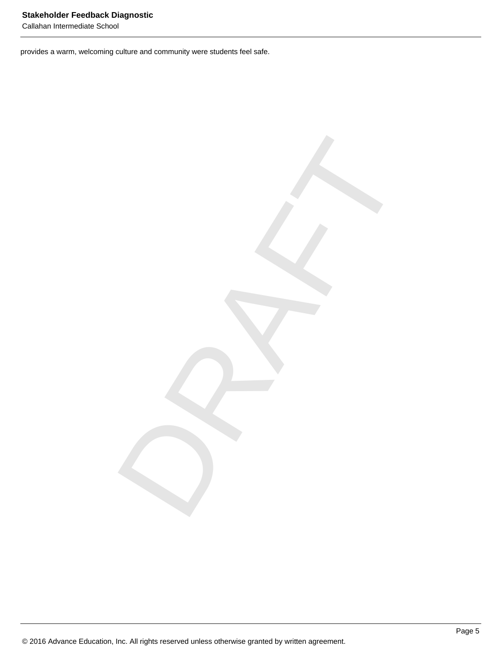provides a warm, welcoming culture and community were students feel safe.

DRAFT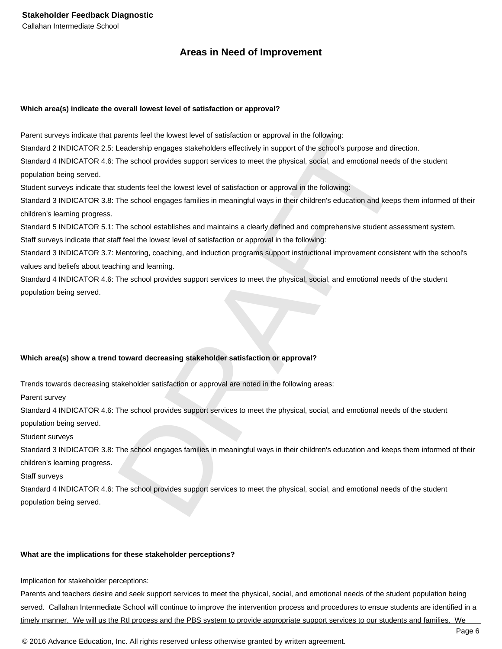## **Areas in Need of Improvement**

#### **Which area(s) indicate the overall lowest level of satisfaction or approval?**

Parent surveys indicate that parents feel the lowest level of satisfaction or approval in the following:

Standard 2 INDICATOR 2.5: Leadership engages stakeholders effectively in support of the school's purpose and direction.

Standard 4 INDICATOR 4.6: The school provides support services to meet the physical, social, and emotional needs of the student population being served.

Student surveys indicate that students feel the lowest level of satisfaction or approval in the following:

Standard 3 INDICATOR 3.8: The school engages families in meaningful ways in their children's education and keeps them informed of their children's learning progress.

Standard 5 INDICATOR 5.1: The school establishes and maintains a clearly defined and comprehensive student assessment system.

Staff surveys indicate that staff feel the lowest level of satisfaction or approval in the following:

Standard 3 INDICATOR 3.7: Mentoring, coaching, and induction programs support instructional improvement consistent with the school's values and beliefs about teaching and learning.

Standard 4 INDICATOR 4.6: The school provides support services to meet the physical, social, and emotional needs of the student population being served.

#### **Which area(s) show a trend toward decreasing stakeholder satisfaction or approval?**

Trends towards decreasing stakeholder satisfaction or approval are noted in the following areas:

Parent survey

Standard 4 INDICATOR 4.6: The school provides support services to meet the physical, social, and emotional needs of the student population being served.

Student surveys

oneris feel the lowest level of satisfaction or approval in the following:<br>Cleadership engages stakeholders effectively in support of the sphoofs purpose and direction.<br>The school provides support services to meet the phys Standard 3 INDICATOR 3.8: The school engages families in meaningful ways in their children's education and keeps them informed of their children's learning progress.

Staff surveys

Standard 4 INDICATOR 4.6: The school provides support services to meet the physical, social, and emotional needs of the student population being served.

#### **What are the implications for these stakeholder perceptions?**

Implication for stakeholder perceptions:

Parents and teachers desire and seek support services to meet the physical, social, and emotional needs of the student population being served. Callahan Intermediate School will continue to improve the intervention process and procedures to ensue students are identified in a timely manner. We will us the RtI process and the PBS system to provide appropriate support services to our students and families. We

© 2016 Advance Education, Inc. All rights reserved unless otherwise granted by written agreement.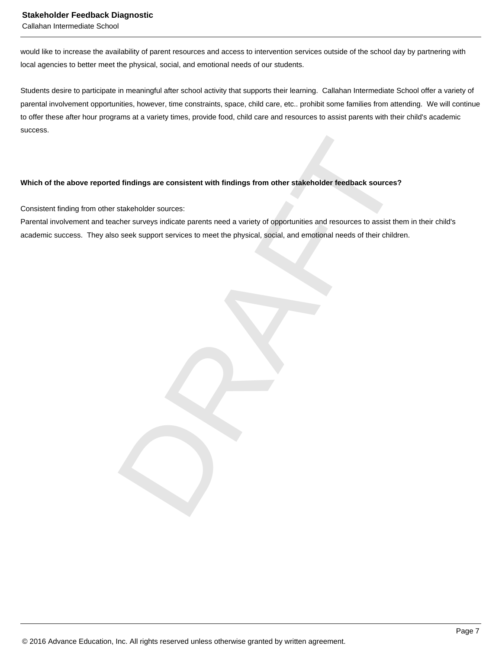#### **Stakeholder Feedback Diagnostic**

Callahan Intermediate School

would like to increase the availability of parent resources and access to intervention services outside of the school day by partnering with local agencies to better meet the physical, social, and emotional needs of our students.

Students desire to participate in meaningful after school activity that supports their learning. Callahan Intermediate School offer a variety of parental involvement opportunities, however, time constraints, space, child care, etc.. prohibit some families from attending. We will continue to offer these after hour programs at a variety times, provide food, child care and resources to assist parents with their child's academic success.

#### **Which of the above reported findings are consistent with findings from other stakeholder feedback sources?**

Consistent finding from other stakeholder sources:

d findings are consistent with findings from other stakeholder feedback sources?<br>Stakeholder sources:<br>Stakeholder sources:<br>Debrassing parents need a variety of opportunities and resources to assist them in their<br>cosek supp Parental involvement and teacher surveys indicate parents need a variety of opportunities and resources to assist them in their child's academic success. They also seek support services to meet the physical, social, and emotional needs of their children.